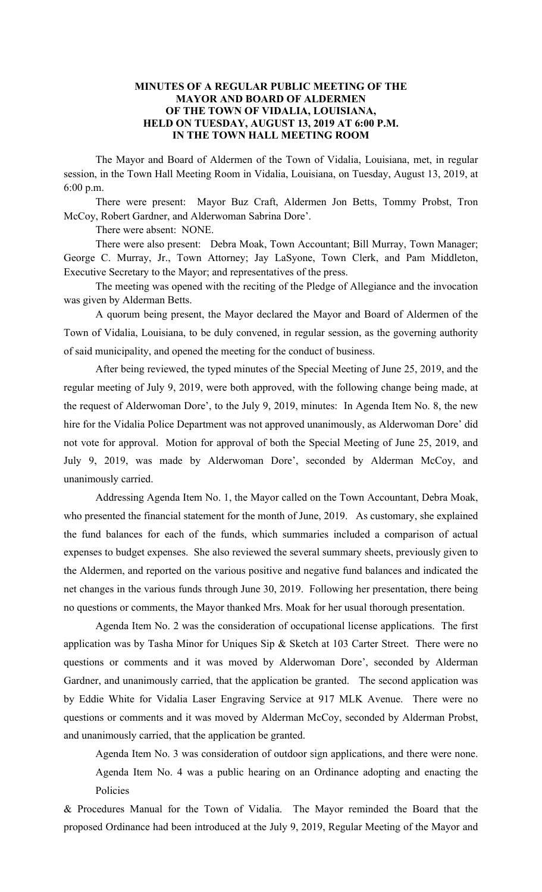#### **MINUTES OF A REGULAR PUBLIC MEETING OF THE MAYOR AND BOARD OF ALDERMEN OF THE TOWN OF VIDALIA, LOUISIANA, HELD ON TUESDAY, AUGUST 13, 2019 AT 6:00 P.M. IN THE TOWN HALL MEETING ROOM**

The Mayor and Board of Aldermen of the Town of Vidalia, Louisiana, met, in regular session, in the Town Hall Meeting Room in Vidalia, Louisiana, on Tuesday, August 13, 2019, at 6:00 p.m.

There were present: Mayor Buz Craft, Aldermen Jon Betts, Tommy Probst, Tron McCoy, Robert Gardner, and Alderwoman Sabrina Dore'.

There were absent: NONE.

There were also present: Debra Moak, Town Accountant; Bill Murray, Town Manager; George C. Murray, Jr., Town Attorney; Jay LaSyone, Town Clerk, and Pam Middleton, Executive Secretary to the Mayor; and representatives of the press.

The meeting was opened with the reciting of the Pledge of Allegiance and the invocation was given by Alderman Betts.

A quorum being present, the Mayor declared the Mayor and Board of Aldermen of the Town of Vidalia, Louisiana, to be duly convened, in regular session, as the governing authority of said municipality, and opened the meeting for the conduct of business.

After being reviewed, the typed minutes of the Special Meeting of June 25, 2019, and the regular meeting of July 9, 2019, were both approved, with the following change being made, at the request of Alderwoman Dore', to the July 9, 2019, minutes: In Agenda Item No. 8, the new hire for the Vidalia Police Department was not approved unanimously, as Alderwoman Dore' did not vote for approval. Motion for approval of both the Special Meeting of June 25, 2019, and July 9, 2019, was made by Alderwoman Dore', seconded by Alderman McCoy, and unanimously carried.

Addressing Agenda Item No. 1, the Mayor called on the Town Accountant, Debra Moak, who presented the financial statement for the month of June, 2019. As customary, she explained the fund balances for each of the funds, which summaries included a comparison of actual expenses to budget expenses. She also reviewed the several summary sheets, previously given to the Aldermen, and reported on the various positive and negative fund balances and indicated the net changes in the various funds through June 30, 2019. Following her presentation, there being no questions or comments, the Mayor thanked Mrs. Moak for her usual thorough presentation.

Agenda Item No. 2 was the consideration of occupational license applications. The first application was by Tasha Minor for Uniques Sip & Sketch at 103 Carter Street. There were no questions or comments and it was moved by Alderwoman Dore', seconded by Alderman Gardner, and unanimously carried, that the application be granted. The second application was by Eddie White for Vidalia Laser Engraving Service at 917 MLK Avenue. There were no questions or comments and it was moved by Alderman McCoy, seconded by Alderman Probst, and unanimously carried, that the application be granted.

Agenda Item No. 3 was consideration of outdoor sign applications, and there were none. Agenda Item No. 4 was a public hearing on an Ordinance adopting and enacting the Policies

& Procedures Manual for the Town of Vidalia. The Mayor reminded the Board that the proposed Ordinance had been introduced at the July 9, 2019, Regular Meeting of the Mayor and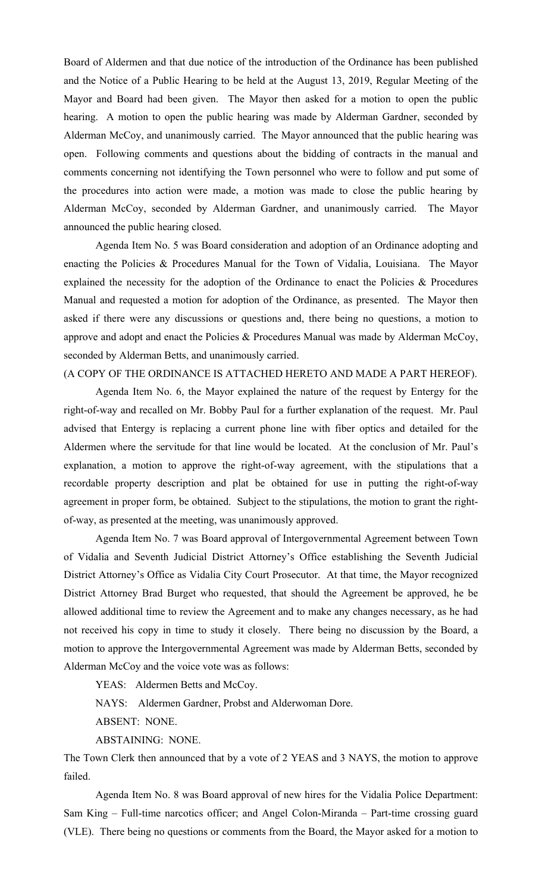Board of Aldermen and that due notice of the introduction of the Ordinance has been published and the Notice of a Public Hearing to be held at the August 13, 2019, Regular Meeting of the Mayor and Board had been given. The Mayor then asked for a motion to open the public hearing. A motion to open the public hearing was made by Alderman Gardner, seconded by Alderman McCoy, and unanimously carried. The Mayor announced that the public hearing was open. Following comments and questions about the bidding of contracts in the manual and comments concerning not identifying the Town personnel who were to follow and put some of the procedures into action were made, a motion was made to close the public hearing by Alderman McCoy, seconded by Alderman Gardner, and unanimously carried. The Mayor announced the public hearing closed.

Agenda Item No. 5 was Board consideration and adoption of an Ordinance adopting and enacting the Policies & Procedures Manual for the Town of Vidalia, Louisiana. The Mayor explained the necessity for the adoption of the Ordinance to enact the Policies & Procedures Manual and requested a motion for adoption of the Ordinance, as presented. The Mayor then asked if there were any discussions or questions and, there being no questions, a motion to approve and adopt and enact the Policies & Procedures Manual was made by Alderman McCoy, seconded by Alderman Betts, and unanimously carried.

# (A COPY OF THE ORDINANCE IS ATTACHED HERETO AND MADE A PART HEREOF).

Agenda Item No. 6, the Mayor explained the nature of the request by Entergy for the right-of-way and recalled on Mr. Bobby Paul for a further explanation of the request. Mr. Paul advised that Entergy is replacing a current phone line with fiber optics and detailed for the Aldermen where the servitude for that line would be located. At the conclusion of Mr. Paul's explanation, a motion to approve the right-of-way agreement, with the stipulations that a recordable property description and plat be obtained for use in putting the right-of-way agreement in proper form, be obtained. Subject to the stipulations, the motion to grant the rightof-way, as presented at the meeting, was unanimously approved.

Agenda Item No. 7 was Board approval of Intergovernmental Agreement between Town of Vidalia and Seventh Judicial District Attorney's Office establishing the Seventh Judicial District Attorney's Office as Vidalia City Court Prosecutor. At that time, the Mayor recognized District Attorney Brad Burget who requested, that should the Agreement be approved, he be allowed additional time to review the Agreement and to make any changes necessary, as he had not received his copy in time to study it closely. There being no discussion by the Board, a motion to approve the Intergovernmental Agreement was made by Alderman Betts, seconded by Alderman McCoy and the voice vote was as follows:

YEAS: Aldermen Betts and McCoy.

NAYS: Aldermen Gardner, Probst and Alderwoman Dore.

ABSENT: NONE.

ABSTAINING: NONE.

The Town Clerk then announced that by a vote of 2 YEAS and 3 NAYS, the motion to approve failed.

Agenda Item No. 8 was Board approval of new hires for the Vidalia Police Department: Sam King – Full-time narcotics officer; and Angel Colon-Miranda – Part-time crossing guard (VLE). There being no questions or comments from the Board, the Mayor asked for a motion to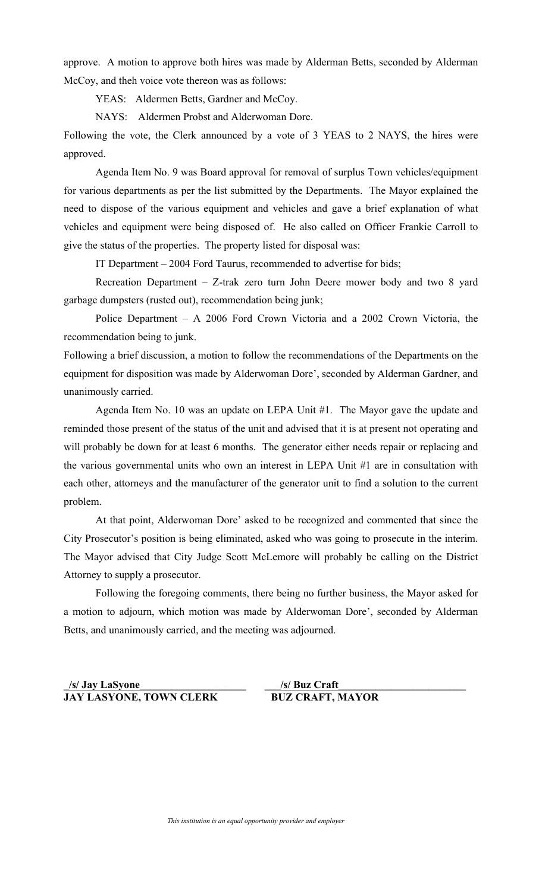approve. A motion to approve both hires was made by Alderman Betts, seconded by Alderman McCoy, and theh voice vote thereon was as follows:

YEAS: Aldermen Betts, Gardner and McCoy.

NAYS: Aldermen Probst and Alderwoman Dore.

Following the vote, the Clerk announced by a vote of 3 YEAS to 2 NAYS, the hires were approved.

Agenda Item No. 9 was Board approval for removal of surplus Town vehicles/equipment for various departments as per the list submitted by the Departments. The Mayor explained the need to dispose of the various equipment and vehicles and gave a brief explanation of what vehicles and equipment were being disposed of. He also called on Officer Frankie Carroll to give the status of the properties. The property listed for disposal was:

IT Department – 2004 Ford Taurus, recommended to advertise for bids;

Recreation Department – Z-trak zero turn John Deere mower body and two 8 yard garbage dumpsters (rusted out), recommendation being junk;

Police Department – A 2006 Ford Crown Victoria and a 2002 Crown Victoria, the recommendation being to junk.

Following a brief discussion, a motion to follow the recommendations of the Departments on the equipment for disposition was made by Alderwoman Dore', seconded by Alderman Gardner, and unanimously carried.

Agenda Item No. 10 was an update on LEPA Unit #1. The Mayor gave the update and reminded those present of the status of the unit and advised that it is at present not operating and will probably be down for at least 6 months. The generator either needs repair or replacing and the various governmental units who own an interest in LEPA Unit #1 are in consultation with each other, attorneys and the manufacturer of the generator unit to find a solution to the current problem.

At that point, Alderwoman Dore' asked to be recognized and commented that since the City Prosecutor's position is being eliminated, asked who was going to prosecute in the interim. The Mayor advised that City Judge Scott McLemore will probably be calling on the District Attorney to supply a prosecutor.

Following the foregoing comments, there being no further business, the Mayor asked for a motion to adjourn, which motion was made by Alderwoman Dore', seconded by Alderman Betts, and unanimously carried, and the meeting was adjourned.

```
_/s/ Jay LaSyone____________________ ___/s/ Buz Craft________________________
JAY LASYONE, TOWN CLERK BUZ CRAFT, MAYOR
```